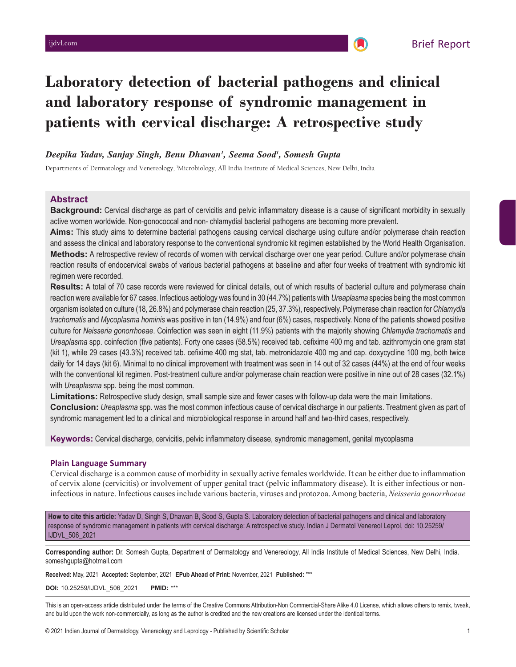# **Laboratory detection of bacterial pathogens and clinical and laboratory response of syndromic management in patients with cervical discharge: A retrospective study**

## *Deepika Yadav, Sanjay Singh, Benu Dhawan1 , Seema Sood1 , Somesh Gupta*

Departments of Dermatology and Venereology, <sup>1</sup>Microbiology, All India Institute of Medical Sciences, New Delhi, India

## **Abstract**

**Background:** Cervical discharge as part of cervicitis and pelvic inflammatory disease is a cause of significant morbidity in sexually active women worldwide. Non-gonococcal and non- chlamydial bacterial pathogens are becoming more prevalent.

**Aims:** This study aims to determine bacterial pathogens causing cervical discharge using culture and/or polymerase chain reaction and assess the clinical and laboratory response to the conventional syndromic kit regimen established by the World Health Organisation. **Methods:** A retrospective review of records of women with cervical discharge over one year period. Culture and/or polymerase chain reaction results of endocervical swabs of various bacterial pathogens at baseline and after four weeks of treatment with syndromic kit regimen were recorded.

**Results:** A total of 70 case records were reviewed for clinical details, out of which results of bacterial culture and polymerase chain reaction were available for 67 cases. Infectious aetiology was found in 30 (44.7%) patients with *Ureaplasma* species being the most common organism isolated on culture (18, 26.8%) and polymerase chain reaction (25, 37.3%), respectively. Polymerase chain reaction for *Chlamydia trachomatis* and *Mycoplasma hominis* was positive in ten (14.9%) and four (6%) cases, respectively. None of the patients showed positive culture for *Neisseria gonorrhoeae*. Coinfection was seen in eight (11.9%) patients with the majority showing *Chlamydia trachomatis* and *Ureaplasma* spp. coinfection (five patients). Forty one cases (58.5%) received tab. cefixime 400 mg and tab. azithromycin one gram stat (kit 1), while 29 cases (43.3%) received tab. cefixime 400 mg stat, tab. metronidazole 400 mg and cap. doxycycline 100 mg, both twice daily for 14 days (kit 6). Minimal to no clinical improvement with treatment was seen in 14 out of 32 cases (44%) at the end of four weeks with the conventional kit regimen. Post-treatment culture and/or polymerase chain reaction were positive in nine out of 28 cases (32.1%) with *Ureaplasma* spp. being the most common.

**Limitations:** Retrospective study design, small sample size and fewer cases with follow-up data were the main limitations.

**Conclusion:** *Ureaplasma* spp. was the most common infectious cause of cervical discharge in our patients. Treatment given as part of syndromic management led to a clinical and microbiological response in around half and two-third cases, respectively.

**Keywords:** Cervical discharge, cervicitis, pelvic inflammatory disease, syndromic management, genital mycoplasma

## **Plain Language Summary**

Cervical discharge is a common cause of morbidity in sexually active females worldwide. It can be either due to inflammation of cervix alone (cervicitis) or involvement of upper genital tract (pelvic inflammatory disease). It is either infectious or noninfectious in nature. Infectious causes include various bacteria, viruses and protozoa. Among bacteria, *Neisseria gonorrhoeae* 

**How to cite this article:** Yadav D, Singh S, Dhawan B, Sood S, Gupta S. Laboratory detection of bacterial pathogens and clinical and laboratory response of syndromic management in patients with cervical discharge: A retrospective study. Indian J Dermatol Venereol Leprol, doi: 10.25259/ IJDVL\_506\_2021

**Corresponding author:** Dr. Somesh Gupta, Department of Dermatology and Venereology, All India Institute of Medical Sciences, New Delhi, India. someshgupta@hotmail.com

**Received:** May, 2021 **Accepted:** September, 2021 **EPub Ahead of Print:** November, 2021 **Published:** \*\*\*

**DOI:** 10.25259/IJDVL\_506\_2021 **PMID:** \*\*\*

This is an open-access article distributed under the terms of the Creative Commons Attribution-Non Commercial-Share Alike 4.0 License, which allows others to remix, tweak, and build upon the work non-commercially, as long as the author is credited and the new creations are licensed under the identical terms.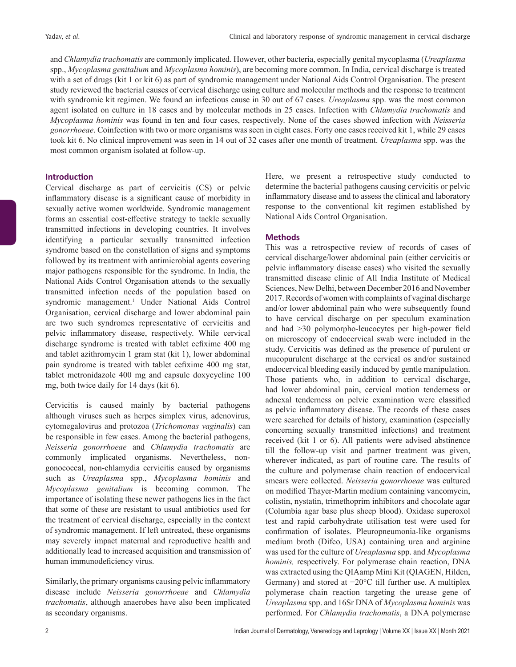and *Chlamydia trachomatis* are commonly implicated. However, other bacteria, especially genital mycoplasma (*Ureaplasma* spp., *Mycoplasma genitalium* and *Mycoplasma hominis*), are becoming more common. In India, cervical discharge is treated with a set of drugs (kit 1 or kit 6) as part of syndromic management under National Aids Control Organisation. The present study reviewed the bacterial causes of cervical discharge using culture and molecular methods and the response to treatment with syndromic kit regimen. We found an infectious cause in 30 out of 67 cases. *Ureaplasma* spp. was the most common agent isolated on culture in 18 cases and by molecular methods in 25 cases. Infection with *Chlamydia trachomatis* and *Mycoplasma hominis* was found in ten and four cases, respectively. None of the cases showed infection with *Neisseria gonorrhoeae*. Coinfection with two or more organisms was seen in eight cases. Forty one cases received kit 1, while 29 cases took kit 6. No clinical improvement was seen in 14 out of 32 cases after one month of treatment. *Ureaplasma* spp. was the most common organism isolated at follow-up.

#### **Introduction**

Cervical discharge as part of cervicitis (CS) or pelvic inflammatory disease is a significant cause of morbidity in sexually active women worldwide. Syndromic management forms an essential cost-effective strategy to tackle sexually transmitted infections in developing countries. It involves identifying a particular sexually transmitted infection syndrome based on the constellation of signs and symptoms followed by its treatment with antimicrobial agents covering major pathogens responsible for the syndrome. In India, the National Aids Control Organisation attends to the sexually transmitted infection needs of the population based on syndromic management.<sup>1</sup> Under National Aids Control Organisation, cervical discharge and lower abdominal pain are two such syndromes representative of cervicitis and pelvic inflammatory disease, respectively. While cervical discharge syndrome is treated with tablet cefixime 400 mg and tablet azithromycin 1 gram stat (kit 1), lower abdominal pain syndrome is treated with tablet cefixime 400 mg stat, tablet metronidazole 400 mg and capsule doxycycline 100 mg, both twice daily for 14 days (kit 6).

Cervicitis is caused mainly by bacterial pathogens although viruses such as herpes simplex virus, adenovirus, cytomegalovirus and protozoa (*Trichomonas vaginalis*) can be responsible in few cases. Among the bacterial pathogens, *Neisseria gonorrhoeae* and *Chlamydia trachomatis* are commonly implicated organisms. Nevertheless, nongonococcal, non-chlamydia cervicitis caused by organisms such as *Ureaplasma* spp., *Mycoplasma hominis* and *Mycoplasma genitalium* is becoming common. The importance of isolating these newer pathogens lies in the fact that some of these are resistant to usual antibiotics used for the treatment of cervical discharge, especially in the context of syndromic management. If left untreated, these organisms may severely impact maternal and reproductive health and additionally lead to increased acquisition and transmission of human immunodeficiency virus.

Similarly, the primary organisms causing pelvic inflammatory disease include *Neisseria gonorrhoeae* and *Chlamydia trachomatis*, although anaerobes have also been implicated as secondary organisms.

Here, we present a retrospective study conducted to determine the bacterial pathogens causing cervicitis or pelvic inflammatory disease and to assess the clinical and laboratory response to the conventional kit regimen established by National Aids Control Organisation.

## **Methods**

This was a retrospective review of records of cases of cervical discharge/lower abdominal pain (either cervicitis or pelvic inflammatory disease cases) who visited the sexually transmitted disease clinic of All India Institute of Medical Sciences, New Delhi, between December 2016 and November 2017. Records of women with complaints of vaginal discharge and/or lower abdominal pain who were subsequently found to have cervical discharge on per speculum examination and had >30 polymorpho-leucocytes per high-power field on microscopy of endocervical swab were included in the study. Cervicitis was defined as the presence of purulent or mucopurulent discharge at the cervical os and/or sustained endocervical bleeding easily induced by gentle manipulation. Those patients who, in addition to cervical discharge, had lower abdominal pain, cervical motion tenderness or adnexal tenderness on pelvic examination were classified as pelvic inflammatory disease. The records of these cases were searched for details of history, examination (especially concerning sexually transmitted infections) and treatment received (kit 1 or 6). All patients were advised abstinence till the follow-up visit and partner treatment was given, wherever indicated, as part of routine care. The results of the culture and polymerase chain reaction of endocervical smears were collected. *Neisseria gonorrhoeae* was cultured on modified Thayer-Martin medium containing vancomycin, colistin, nystatin, trimethoprim inhibitors and chocolate agar (Columbia agar base plus sheep blood). Oxidase superoxol test and rapid carbohydrate utilisation test were used for confirmation of isolates. Pleuropneumonia-like organisms medium broth (Difco, USA) containing urea and arginine was used for the culture of *Ureaplasma* spp. and *Mycoplasma hominis,* respectively. For polymerase chain reaction, DNA was extracted using the QIAamp Mini Kit (QIAGEN, Hilden, Germany) and stored at −20°C till further use. A multiplex polymerase chain reaction targeting the urease gene of *Ureaplasma* spp. and 16Sr DNA of *Mycoplasma hominis* was performed. For *Chlamydia trachomatis*, a DNA polymerase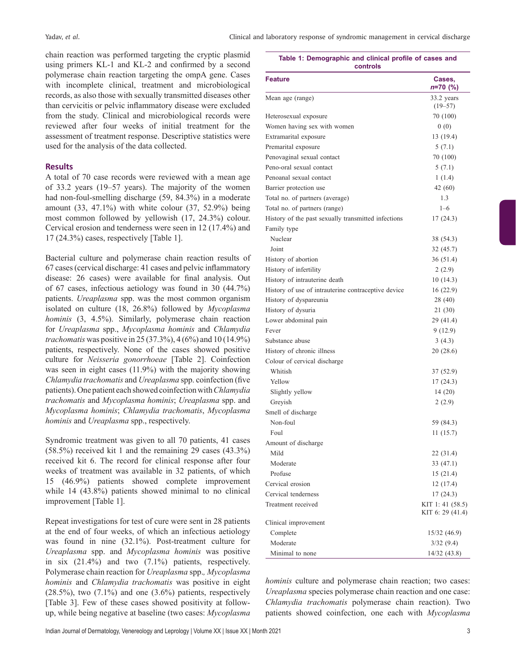**Table 1: Demographic and clinical profile of cases and**

chain reaction was performed targeting the cryptic plasmid using primers KL‐1 and KL‐2 and confirmed by a second polymerase chain reaction targeting the ompA gene. Cases with incomplete clinical, treatment and microbiological records, as also those with sexually transmitted diseases other than cervicitis or pelvic inflammatory disease were excluded from the study. Clinical and microbiological records were reviewed after four weeks of initial treatment for the assessment of treatment response. Descriptive statistics were used for the analysis of the data collected.

## **Results**

A total of 70 case records were reviewed with a mean age of 33.2 years (19–57 years). The majority of the women had non-foul-smelling discharge (59, 84.3%) in a moderate amount (33, 47.1%) with white colour (37, 52.9%) being most common followed by yellowish (17, 24.3%) colour. Cervical erosion and tenderness were seen in 12 (17.4%) and 17 (24.3%) cases, respectively [Table 1].

Bacterial culture and polymerase chain reaction results of 67 cases (cervical discharge: 41 cases and pelvic inflammatory disease: 26 cases) were available for final analysis. Out of 67 cases, infectious aetiology was found in 30 (44.7%) patients. *Ureaplasma* spp. was the most common organism isolated on culture (18, 26.8%) followed by *Mycoplasma hominis* (3, 4.5%). Similarly, polymerase chain reaction for *Ureaplasma* spp., *Mycoplasma hominis* and *Chlamydia trachomatis* was positive in 25 (37.3%), 4 (6%) and 10 (14.9%) patients, respectively. None of the cases showed positive culture for *Neisseria gonorrhoeae* [Table 2]. Coinfection was seen in eight cases (11.9%) with the majority showing *Chlamydia trachomatis* and *Ureaplasma* spp. coinfection (five patients). One patient each showed coinfection with *Chlamydia trachomatis* and *Mycoplasma hominis*; *Ureaplasma* spp. and *Mycoplasma hominis*; *Chlamydia trachomatis*, *Mycoplasma hominis* and *Ureaplasma* spp., respectively.

Syndromic treatment was given to all 70 patients, 41 cases (58.5%) received kit 1 and the remaining 29 cases (43.3%) received kit 6. The record for clinical response after four weeks of treatment was available in 32 patients, of which 15 (46.9%) patients showed complete improvement while 14 (43.8%) patients showed minimal to no clinical improvement [Table 1].

Repeat investigations for test of cure were sent in 28 patients at the end of four weeks, of which an infectious aetiology was found in nine (32.1%). Post-treatment culture for *Ureaplasma* spp. and *Mycoplasma hominis* was positive in six (21.4%) and two (7.1%) patients, respectively. Polymerase chain reaction for *Ureaplasma* spp.*, Mycoplasma hominis* and *Chlamydia trachomatis* was positive in eight  $(28.5\%)$ , two  $(7.1\%)$  and one  $(3.6\%)$  patients, respectively [Table 3]. Few of these cases showed positivity at followup, while being negative at baseline (two cases: *Mycoplasma* 

| controls                                            |                            |
|-----------------------------------------------------|----------------------------|
| <b>Feature</b>                                      | Cases,<br><i>n</i> =70 (%) |
| Mean age (range)                                    | 33.2 years<br>$(19 - 57)$  |
| Heterosexual exposure                               | 70 (100)                   |
| Women having sex with women                         | 0(0)                       |
| Extramarital exposure                               | 13 (19.4)                  |
| Premarital exposure                                 | 5(7.1)                     |
| Penovaginal sexual contact                          | 70 (100)                   |
| Peno-oral sexual contact                            | 5(7.1)                     |
| Penoanal sexual contact                             | 1(1.4)                     |
| Barrier protection use                              | 42 (60)                    |
| Total no. of partners (average)                     | 1.3                        |
| Total no. of partners (range)                       | $1 - 6$                    |
| History of the past sexually transmitted infections | 17 (24.3)                  |
| Family type                                         |                            |
| Nuclear                                             | 38 (54.3)                  |
| Joint                                               | 32 (45.7)                  |
| History of abortion                                 | 36 (51.4)                  |
| History of infertility                              | 2(2.9)                     |
| History of intrauterine death                       | 10(14.3)                   |
| History of use of intrauterine contraceptive device | 16(22.9)                   |
| History of dyspareunia                              | 28 (40)                    |
| History of dysuria                                  | 21 (30)                    |
| Lower abdominal pain                                | 29 (41.4)                  |
| Fever                                               | 9(12.9)                    |
| Substance abuse                                     | 3(4.3)                     |
| History of chronic illness                          | 20 (28.6)                  |
| Colour of cervical discharge                        |                            |
| Whitish                                             | 37 (52.9)                  |
| Yellow                                              | 17 (24.3)                  |
| Slightly yellow                                     | 14(20)                     |
| Greyish                                             | 2(2.9)                     |
| Smell of discharge                                  |                            |
| Non-foul                                            | 59 (84.3)                  |
| Foul                                                | 11 (15.7)                  |
| Amount of discharge                                 |                            |
| Mild                                                | 22 (31.4)                  |
| Moderate                                            | 33 (47.1)                  |
| Profuse                                             | 15(21.4)                   |
| Cervical erosion                                    | 12(17.4)                   |
| Cervical tenderness                                 | 17(24.3)                   |
| Treatment received                                  | KIT 1: 41 (58.5)           |
|                                                     | KIT 6: 29 (41.4)           |
| Clinical improvement                                |                            |
| Complete                                            | 15/32 (46.9)               |
| Moderate                                            | 3/32(9.4)                  |
| Minimal to none                                     | 14/32(43.8)                |

*hominis* culture and polymerase chain reaction; two cases: *Ureaplasma* species polymerase chain reaction and one case: *Chlamydia trachomatis* polymerase chain reaction). Two patients showed coinfection, one each with *Mycoplasma*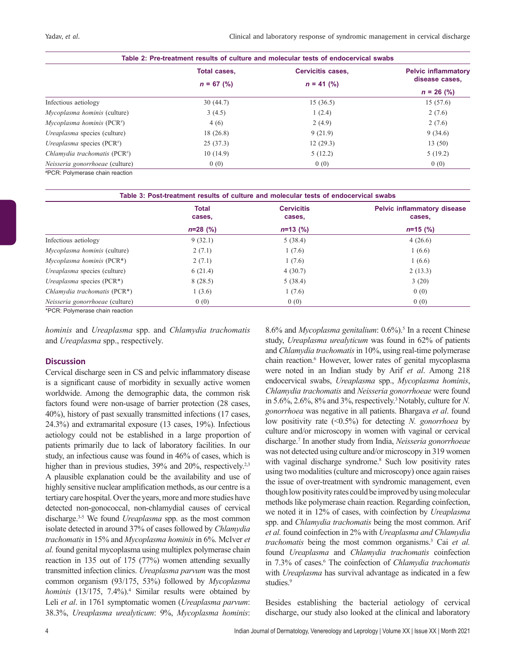Yadav, *et al*. Clinical and laboratory response of syndromic management in cervical discharge

| Table 2: Pre-treatment results of culture and molecular tests of endocervical swabs |                     |                          |                            |  |  |
|-------------------------------------------------------------------------------------|---------------------|--------------------------|----------------------------|--|--|
|                                                                                     | <b>Total cases,</b> | <b>Cervicitis cases,</b> | <b>Pelvic inflammatory</b> |  |  |
|                                                                                     | $n = 67$ (%)        | $n = 41$ (%)             | disease cases,             |  |  |
|                                                                                     |                     |                          | $n = 26$ (%)               |  |  |
| Infectious aetiology                                                                | 30(44.7)            | 15(36.5)                 | 15(57.6)                   |  |  |
| Mycoplasma hominis (culture)                                                        | 3(4.5)              | 1(2.4)                   | 2(7.6)                     |  |  |
| Mycoplasma hominis ( $PCR\#$ )                                                      | 4(6)                | 2(4.9)                   | 2(7.6)                     |  |  |
| <i>Ureaplasma</i> species (culture)                                                 | 18(26.8)            | 9(21.9)                  | 9(34.6)                    |  |  |
| <i>Ureaplasma</i> species $(PCR^*)$                                                 | 25(37.3)            | 12(29.3)                 | 13(50)                     |  |  |
| Chlamydia trachomatis ( $PCR*$ )                                                    | 10(14.9)            | 5(12.2)                  | 5(19.2)                    |  |  |
| Neisseria gonorrhoeae (culture)                                                     | 0(0)                | 0(0)                     | 0(0)                       |  |  |
| #PCR: Polymerase chain reaction                                                     |                     |                          |                            |  |  |

# PCR: Polymerase chain reaction

| Table 3: Post-treatment results of culture and molecular tests of endocervical swabs |                        |                             |                                              |  |  |
|--------------------------------------------------------------------------------------|------------------------|-----------------------------|----------------------------------------------|--|--|
|                                                                                      | <b>Total</b><br>cases, | <b>Cervicitis</b><br>cases, | <b>Pelvic inflammatory disease</b><br>cases, |  |  |
|                                                                                      | $n=28$ (%)             | $n=13$ (%)                  | $n=15$ (%)                                   |  |  |
| Infectious aetiology                                                                 | 9(32.1)                | 5(38.4)                     | 4(26.6)                                      |  |  |
| <i>Mycoplasma hominis</i> (culture)                                                  | 2(7.1)                 | 1(7.6)                      | 1(6.6)                                       |  |  |
| $Mvcoplasma hominis (PCR*)$                                                          | 2(7.1)                 | 1(7.6)                      | 1(6.6)                                       |  |  |
| <i>Ureaplasma</i> species (culture)                                                  | 6(21.4)                | 4(30.7)                     | 2(13.3)                                      |  |  |
| <i>Ureaplasma</i> species $(PCR^*)$                                                  | 8(28.5)                | 5(38.4)                     | 3(20)                                        |  |  |
| Chlamydia trachomatis (PCR <sup>*</sup> )                                            | 1(3.6)                 | 1(7.6)                      | 0(0)                                         |  |  |
| Neisseria gonorrhoeae (culture)                                                      | 0(0)                   | 0(0)                        | 0(0)                                         |  |  |

\*PCR: Polymerase chain reaction

*hominis* and *Ureaplasma* spp. and *Chlamydia trachomatis* and *Ureaplasma* spp., respectively.

## **Discussion**

Cervical discharge seen in CS and pelvic inflammatory disease is a significant cause of morbidity in sexually active women worldwide. Among the demographic data, the common risk factors found were non-usage of barrier protection (28 cases, 40%), history of past sexually transmitted infections (17 cases, 24.3%) and extramarital exposure (13 cases, 19%). Infectious aetiology could not be established in a large proportion of patients primarily due to lack of laboratory facilities. In our study, an infectious cause was found in 46% of cases, which is higher than in previous studies, 39% and 20%, respectively.<sup>2,3</sup> A plausible explanation could be the availability and use of highly sensitive nuclear amplification methods, as our centre is a tertiary care hospital. Over the years, more and more studies have detected non-gonococcal, non-chlamydial causes of cervical discharge.3-5 We found *Ureaplasma* spp. as the most common isolate detected in around 37% of cases followed by *Chlamydia trachomatis* in 15% and *Mycoplasma hominis* in 6%. McIver *et al.* found genital mycoplasma using multiplex polymerase chain reaction in 135 out of 175 (77%) women attending sexually transmitted infection clinics. *Ureaplasma parvum* was the most common organism (93/175, 53%) followed by *Mycoplasma hominis* (13/175, 7.4%).4 Similar results were obtained by Leli *et al*. in 1761 symptomatic women (*Ureaplasma parvum*: 38.3%, *Ureaplasma urealyticum*: 9%, *Mycoplasma hominis*:

8.6% and *Mycoplasma genitalium*: 0.6%).<sup>5</sup> In a recent Chinese study, *Ureaplasma urealyticum* was found in 62% of patients and *Chlamydia trachomatis* in 10%, using real-time polymerase chain reaction.<sup>6</sup> However, lower rates of genital mycoplasma were noted in an Indian study by Arif *et al*. Among 218 endocervical swabs, *Ureaplasma* spp., *Mycoplasma hominis*, *Chlamydia trachomatis* and *Neisseria gonorrhoeae* were found in 5.6%, 2.6%, 8% and 3%, respectively.3 Notably, culture for *N. gonorrhoea* was negative in all patients. Bhargava *et al*. found low positivity rate (<0.5%) for detecting *N. gonorrhoea* by culture and/or microscopy in women with vaginal or cervical discharge.<sup>7</sup> In another study from India, *Neisseria gonorrhoeae* was not detected using culture and/or microscopy in 319 women with vaginal discharge syndrome.<sup>8</sup> Such low positivity rates using two modalities (culture and microscopy) once again raises the issue of over-treatment with syndromic management, even though low positivity rates could be improved by using molecular methods like polymerase chain reaction. Regarding coinfection, we noted it in 12% of cases, with coinfection by *Ureaplasma*  spp. and *Chlamydia trachomatis* being the most common. Arif *et al.* found coinfection in 2% with *Ureaplasma and Chlamydia trachomatis* being the most common organisms.3 Cai *et al.* found *Ureaplasma* and *Chlamydia trachomatis* coinfection in 7.3% of cases.<sup>6</sup> The coinfection of *Chlamydia trachomatis* with *Ureaplasma* has survival advantage as indicated in a few studies.<sup>9</sup>

Besides establishing the bacterial aetiology of cervical discharge, our study also looked at the clinical and laboratory